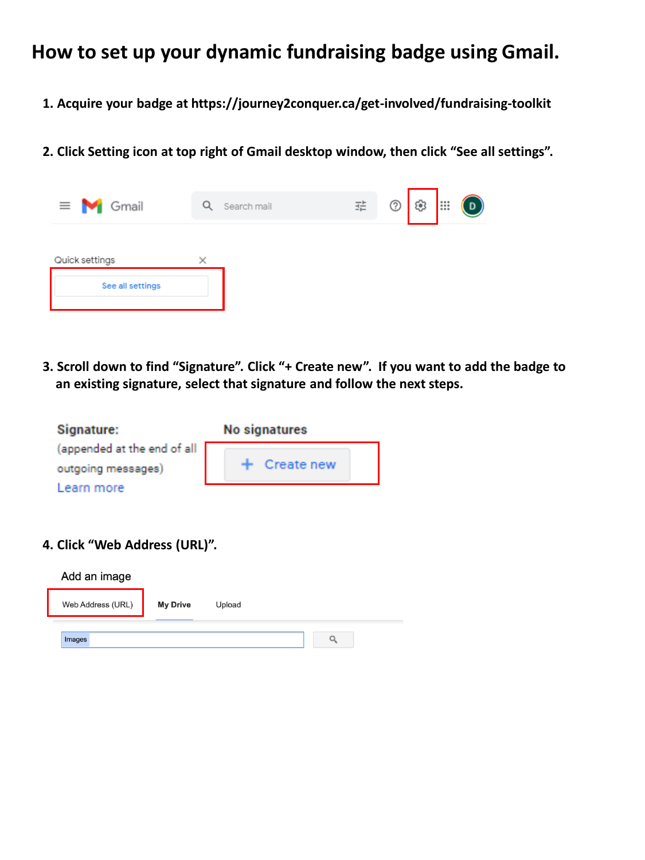## **How to set up your dynamic fundraising badge using Gmail.**

- **1. Acquire your badge at https://journey2conquer.ca/get-involved/fundraising-toolkit**
- **2. Click Setting icon at top right of Gmail desktop window, then click "See all settings".**



**3. Scroll down to find "Signature". Click "+ Create new". If you want to add the badge to an existing signature, select that signature and follow the next steps.** 

| <b>Signature:</b>           | <b>No signatures</b> |
|-----------------------------|----------------------|
| (appended at the end of all |                      |
| outgoing messages)          | $+$ Create new       |
| Learn more                  |                      |

**4. Click "Web Address (URL)".**

| Add an image      |                 |        |  |
|-------------------|-----------------|--------|--|
| Web Address (URL) | <b>My Drive</b> | Upload |  |
| Images            |                 |        |  |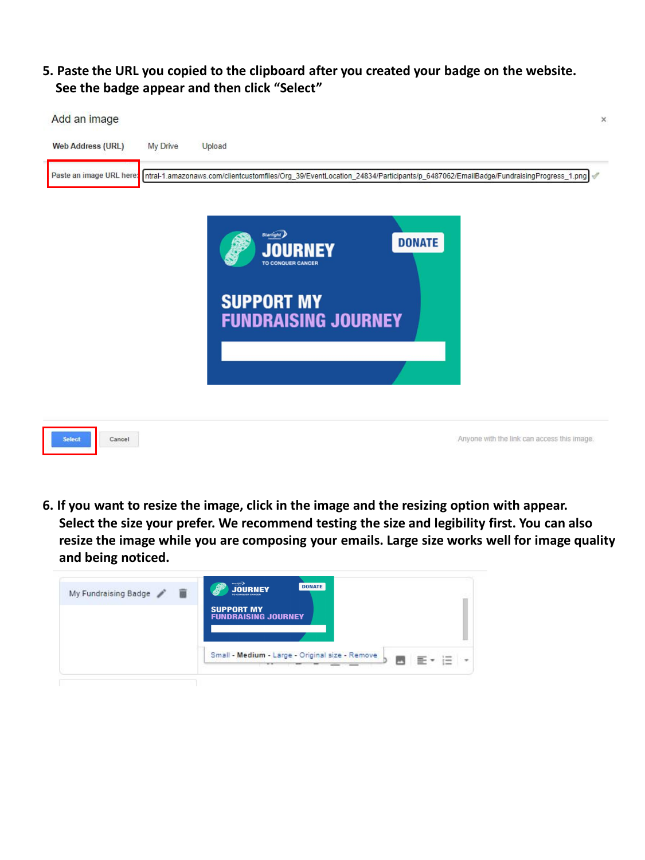## **5. Paste the URL you copied to the clipboard after you created your badge on the website. See the badge appear and then click "Select"**



**6. If you want to resize the image, click in the image and the resizing option with appear. Select the size your prefer. We recommend testing the size and legibility first. You can also resize the image while you are composing your emails. Large size works well for image quality and being noticed.**